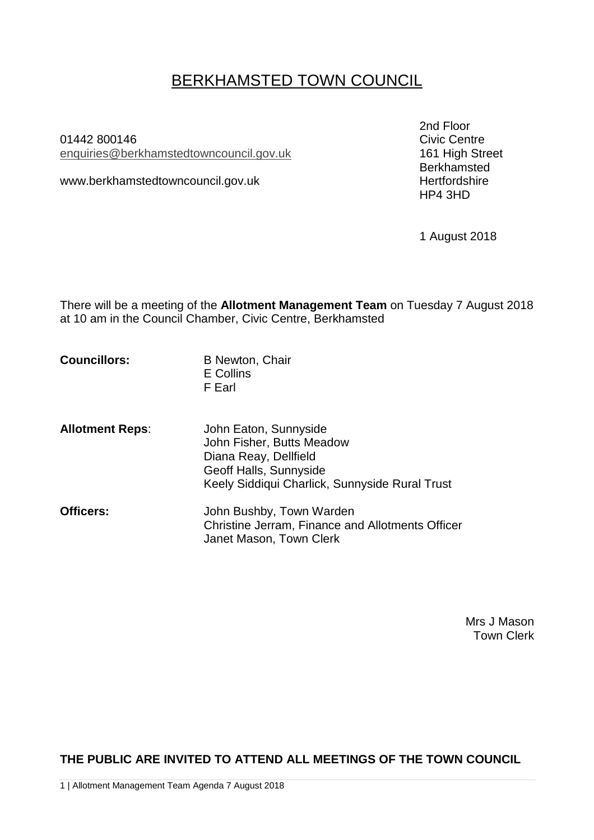# BERKHAMSTED TOWN COUNCIL

01442 800146 enquiries[@berkhamstedtowncouncil.gov.uk](mailto:berkhamsted.towncouncil@dacorum.gov.uk) 161 High Street

www.berkhamstedtowncouncil.gov.uk

2nd Floor<br>Civic Centre Berkhamsted HP4 3HD

1 August 2018

There will be a meeting of the **Allotment Management Team** on Tuesday 7 August 2018 at 10 am in the Council Chamber, Civic Centre, Berkhamsted

| <b>Councillors:</b> | B Newton, Chair  |
|---------------------|------------------|
|                     | <b>F</b> Collins |

E Collins F Earl

| <b>Allotment Reps:</b> | John Eaton, Sunnyside<br>John Fisher, Butts Meadow<br>Diana Reay, Dellfield<br>Geoff Halls, Sunnyside<br>Keely Siddiqui Charlick, Sunnyside Rural Trust |
|------------------------|---------------------------------------------------------------------------------------------------------------------------------------------------------|
| <b>Officers:</b>       | John Bushby, Town Warden<br>Christine Jerram, Finance and Allotments Officer                                                                            |

Janet Mason, Town Clerk

Mrs J Mason Town Clerk

**THE PUBLIC ARE INVITED TO ATTEND ALL MEETINGS OF THE TOWN COUNCIL**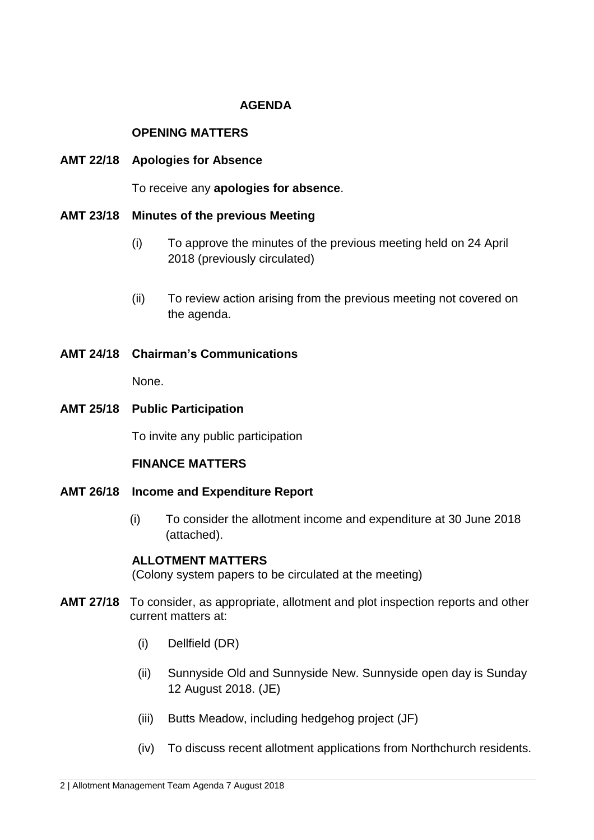## **AGENDA**

#### **OPENING MATTERS**

#### **AMT 22/18 Apologies for Absence**

To receive any **apologies for absence**.

### **AMT 23/18 Minutes of the previous Meeting**

- (i) To approve the minutes of the previous meeting held on 24 April 2018 (previously circulated)
- (ii) To review action arising from the previous meeting not covered on the agenda.

**AMT 24/18 Chairman's Communications**

None.

**AMT 25/18 Public Participation**

To invite any public participation

#### **FINANCE MATTERS**

- **AMT 26/18 Income and Expenditure Report**
	- (i) To consider the allotment income and expenditure at 30 June 2018 (attached).

#### **ALLOTMENT MATTERS**

(Colony system papers to be circulated at the meeting)

- **AMT 27/18** To consider, as appropriate, allotment and plot inspection reports and other current matters at:
	- (i) Dellfield (DR)
	- (ii) Sunnyside Old and Sunnyside New. Sunnyside open day is Sunday 12 August 2018. (JE)
	- (iii) Butts Meadow, including hedgehog project (JF)
	- (iv) To discuss recent allotment applications from Northchurch residents.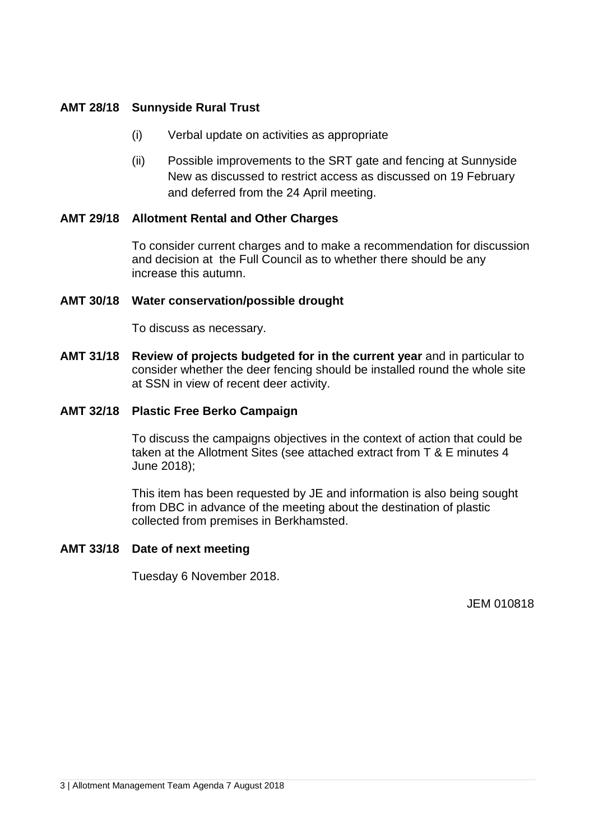### **AMT 28/18 Sunnyside Rural Trust**

- (i) Verbal update on activities as appropriate
- (ii) Possible improvements to the SRT gate and fencing at Sunnyside New as discussed to restrict access as discussed on 19 February and deferred from the 24 April meeting.

### **AMT 29/18 Allotment Rental and Other Charges**

To consider current charges and to make a recommendation for discussion and decision at the Full Council as to whether there should be any increase this autumn.

### **AMT 30/18 Water conservation/possible drought**

To discuss as necessary.

**AMT 31/18 Review of projects budgeted for in the current year** and in particular to consider whether the deer fencing should be installed round the whole site at SSN in view of recent deer activity.

#### **AMT 32/18 Plastic Free Berko Campaign**

To discuss the campaigns objectives in the context of action that could be taken at the Allotment Sites (see attached extract from T & E minutes 4 June 2018);

This item has been requested by JE and information is also being sought from DBC in advance of the meeting about the destination of plastic collected from premises in Berkhamsted.

### **AMT 33/18 Date of next meeting**

Tuesday 6 November 2018.

JEM 010818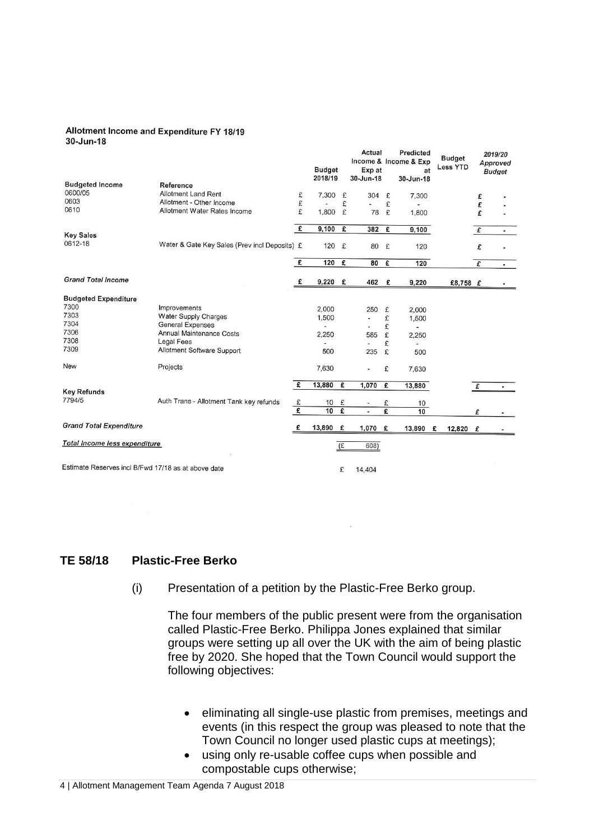#### Allotment Income and Expenditure FY 18/19  $30 - Jun-18$

|                                                     |                                               |             | <b>Budget</b><br>2018/19 |    | Actual<br>Exp at<br>30-Jun-18 |   | Predicted<br>Income & Income & Exp<br>at<br>30-Jun-18 | <b>Budget</b><br><b>Less YTD</b> | 2019/20<br>Approved<br><b>Budget</b> |                |
|-----------------------------------------------------|-----------------------------------------------|-------------|--------------------------|----|-------------------------------|---|-------------------------------------------------------|----------------------------------|--------------------------------------|----------------|
| <b>Budgeted Income</b>                              | Reference                                     |             |                          |    |                               |   |                                                       |                                  |                                      |                |
| 0600/05                                             | Allotment Land Rent                           | £           | 7,300                    | £  | 304                           | £ | 7,300                                                 |                                  | £                                    |                |
| 0603                                                | Allotment - Other Income                      | £           |                          | £  | a.                            | £ | $\overline{\phantom{a}}$                              |                                  | £                                    |                |
| 0610                                                | Allotment Water Rates Income                  | £           | 1,800                    | £  | 78                            | £ | 1,800                                                 |                                  | £                                    |                |
|                                                     |                                               | £           | 9,100                    | £  | 382 £                         |   | 9,100                                                 |                                  | £                                    |                |
| <b>Key Sales</b>                                    |                                               |             |                          |    |                               |   |                                                       |                                  |                                      |                |
| 0612-18                                             | Water & Gate Key Sales (Prev incl Deposits) £ |             | 120 £                    |    | 80                            | £ | 120                                                   |                                  | £                                    |                |
|                                                     |                                               | £           | 120                      | £  | 80                            | £ | 120                                                   |                                  | £                                    | $\blacksquare$ |
| <b>Grand Total Income</b>                           |                                               | £           | 9,220                    | £  | 462                           | £ | 9,220                                                 | £8,758 £                         |                                      |                |
| <b>Budgeted Expenditure</b>                         |                                               |             |                          |    |                               |   |                                                       |                                  |                                      |                |
| 7300                                                | Improvements                                  |             | 2,000                    |    | 250                           | £ | 2,000                                                 |                                  |                                      |                |
| 7303                                                | <b>Water Supply Charges</b>                   |             | 1,500                    |    |                               | £ | 1,500                                                 |                                  |                                      |                |
| 7304                                                | General Expenses                              |             | $\blacksquare$           |    |                               | £ |                                                       |                                  |                                      |                |
| 7306                                                | Annual Maintenance Costs                      |             | 2,250                    |    | 585                           | £ | 2,250                                                 |                                  |                                      |                |
| 7308                                                | Legal Fees                                    |             |                          |    |                               | £ |                                                       |                                  |                                      |                |
| 7309                                                | Allotment Software Support                    |             | 500                      |    | 235                           | £ | 500                                                   |                                  |                                      |                |
| New                                                 | Projects                                      |             | 7,630                    |    | $\blacksquare$                | £ | 7,630                                                 |                                  |                                      |                |
| <b>Key Refunds</b>                                  |                                               | £           | 13,880 £                 |    | 1,070                         | £ | 13,880                                                |                                  | £                                    |                |
| 7794/5                                              | Auth Trans - Allotment Tank key refunds       | $rac{f}{f}$ | 10                       | £  | $\overline{\phantom{a}}$      | £ | 10                                                    |                                  |                                      |                |
|                                                     |                                               |             | $10$ £                   |    | $\blacksquare$                | £ | 10                                                    |                                  | £                                    |                |
| <b>Grand Total Expenditure</b>                      |                                               | £           | 13,890                   | £  | 1,070                         | £ | 13,890                                                | £<br>12,820                      | £                                    |                |
| Total Income less expenditure                       |                                               |             |                          | (£ | 608)                          |   |                                                       |                                  |                                      |                |
| Estimate Reserves incl B/Fwd 17/18 as at above date |                                               |             |                          | £  | 14,404                        |   |                                                       |                                  |                                      |                |

#### **TE 58/18 Plastic-Free Berko**

(i) Presentation of a petition by the Plastic-Free Berko group.

The four members of the public present were from the organisation called Plastic-Free Berko. Philippa Jones explained that similar groups were setting up all over the UK with the aim of being plastic free by 2020. She hoped that the Town Council would support the following objectives:

 $\sim$ 

- eliminating all single-use plastic from premises, meetings and events (in this respect the group was pleased to note that the Town Council no longer used plastic cups at meetings);
- using only re-usable coffee cups when possible and compostable cups otherwise;